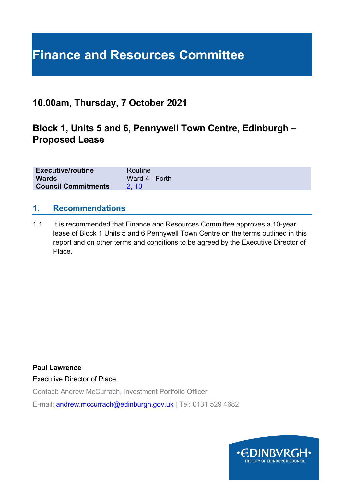# **Finance and Resources Committee**

# **10.00am, Thursday, 7 October 2021**

# **Block 1, Units 5 and 6, Pennywell Town Centre, Edinburgh – Proposed Lease**

| <b>Executive/routine</b>   | Routine        |
|----------------------------|----------------|
| <b>Wards</b>               | Ward 4 - Forth |
| <b>Council Commitments</b> | <b>2.10</b>    |

#### **1. Recommendations**

1.1 It is recommended that Finance and Resources Committee approves a 10-year lease of Block 1 Units 5 and 6 Pennywell Town Centre on the terms outlined in this report and on other terms and conditions to be agreed by the Executive Director of Place.

**Paul Lawrence**

Executive Director of Place

Contact: Andrew McCurrach, Investment Portfolio Officer

E-mail: [andrew.mccurrach@edinburgh.gov.uk](mailto:andrew.mccurrach@edinburgh.gov.uk) | Tel: 0131 529 4682

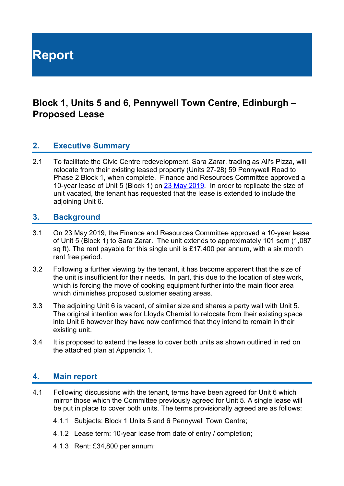**Report**

# **Block 1, Units 5 and 6, Pennywell Town Centre, Edinburgh – Proposed Lease**

#### **2. Executive Summary**

2.1 To facilitate the Civic Centre redevelopment, Sara Zarar, trading as Ali's Pizza, will relocate from their existing leased property (Units 27-28) 59 Pennywell Road to Phase 2 Block 1, when complete. Finance and Resources Committee approved a 10-year lease of Unit 5 (Block 1) on [23 May 2019.](https://democracy.edinburgh.gov.uk/CeListDocuments.aspx?CommitteeId=140&MeetingId=2313&DF=23%2f05%2f2019&Ver=2) In order to replicate the size of unit vacated, the tenant has requested that the lease is extended to include the adjoining Unit 6.

#### **3. Background**

- 3.1 On 23 May 2019, the Finance and Resources Committee approved a 10-year lease of Unit 5 (Block 1) to Sara Zarar. The unit extends to approximately 101 sqm (1,087 sq ft). The rent payable for this single unit is £17,400 per annum, with a six month rent free period.
- 3.2 Following a further viewing by the tenant, it has become apparent that the size of the unit is insufficient for their needs. In part, this due to the location of steelwork, which is forcing the move of cooking equipment further into the main floor area which diminishes proposed customer seating areas.
- 3.3 The adjoining Unit 6 is vacant, of similar size and shares a party wall with Unit 5. The original intention was for Lloyds Chemist to relocate from their existing space into Unit 6 however they have now confirmed that they intend to remain in their existing unit.
- 3.4 It is proposed to extend the lease to cover both units as shown outlined in red on the attached plan at Appendix 1.

#### **4. Main report**

- 4.1 Following discussions with the tenant, terms have been agreed for Unit 6 which mirror those which the Committee previously agreed for Unit 5. A single lease will be put in place to cover both units. The terms provisionally agreed are as follows:
	- 4.1.1 Subjects: Block 1 Units 5 and 6 Pennywell Town Centre;
	- 4.1.2 Lease term: 10-year lease from date of entry / completion;
	- 4.1.3 Rent: £34,800 per annum;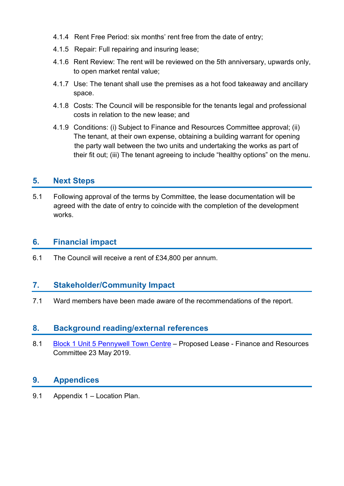- 4.1.4 Rent Free Period: six months' rent free from the date of entry;
- 4.1.5 Repair: Full repairing and insuring lease;
- 4.1.6 Rent Review: The rent will be reviewed on the 5th anniversary, upwards only, to open market rental value;
- 4.1.7 Use: The tenant shall use the premises as a hot food takeaway and ancillary space.
- 4.1.8 Costs: The Council will be responsible for the tenants legal and professional costs in relation to the new lease; and
- 4.1.9 Conditions: (i) Subject to Finance and Resources Committee approval; (ii) The tenant, at their own expense, obtaining a building warrant for opening the party wall between the two units and undertaking the works as part of their fit out; (iii) The tenant agreeing to include "healthy options" on the menu.

## **5. Next Steps**

5.1 Following approval of the terms by Committee, the lease documentation will be agreed with the date of entry to coincide with the completion of the development works.

### **6. Financial impact**

6.1 The Council will receive a rent of £34,800 per annum.

## **7. Stakeholder/Community Impact**

7.1 Ward members have been made aware of the recommendations of the report.

#### **8. Background reading/external references**

8.1 [Block 1 Unit 5 Pennywell Town Centre](https://democracy.edinburgh.gov.uk/CeListDocuments.aspx?CommitteeId=140&MeetingId=2313&DF=23%2f05%2f2019&Ver=2) – Proposed Lease - Finance and Resources Committee 23 May 2019.

## **9. Appendices**

9.1 Appendix 1 – Location Plan.